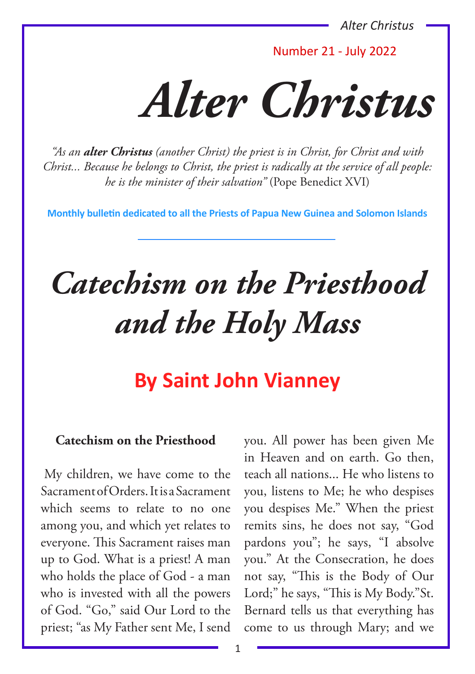*Alter Christus*

Number 21 - July 2022

*Alter Christus*

*"As an alter Christus (another Christ) the priest is in Christ, for Christ and with Christ... Because he belongs to Christ, the priest is radically at the service of all people: he is the minister of their salvation"* (Pope Benedict XVI)

**Monthly bulletin dedicated to all the Priests of Papua New Guinea and Solomon Islands**

# *Catechism on the Priesthood and the Holy Mass*

# **By Saint John Vianney**

#### **Catechism on the Priesthood**

My children, we have come to the Sacrament of Orders. It is a Sacrament which seems to relate to no one among you, and which yet relates to everyone. This Sacrament raises man up to God. What is a priest! A man who holds the place of God - a man who is invested with all the powers of God. "Go," said Our Lord to the priest; "as My Father sent Me, I send

you. All power has been given Me in Heaven and on earth. Go then, teach all nations... He who listens to you, listens to Me; he who despises you despises Me." When the priest remits sins, he does not say, "God pardons you"; he says, "I absolve you." At the Consecration, he does not say, "This is the Body of Our Lord;" he says, "This is My Body."St. Bernard tells us that everything has come to us through Mary; and we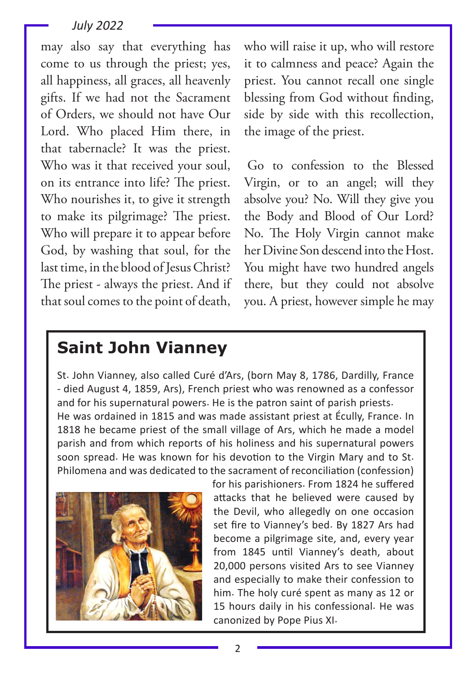may also say that everything has come to us through the priest; yes, all happiness, all graces, all heavenly gifts. If we had not the Sacrament of Orders, we should not have Our Lord. Who placed Him there, in that tabernacle? It was the priest. Who was it that received your soul, on its entrance into life? The priest. Who nourishes it, to give it strength to make its pilgrimage? The priest. Who will prepare it to appear before God, by washing that soul, for the last time, in the blood of Jesus Christ? The priest - always the priest. And if that soul comes to the point of death,

who will raise it up, who will restore it to calmness and peace? Again the priest. You cannot recall one single blessing from God without finding, side by side with this recollection, the image of the priest.

Go to confession to the Blessed Virgin, or to an angel; will they absolve you? No. Will they give you the Body and Blood of Our Lord? No. The Holy Virgin cannot make her Divine Son descend into the Host. You might have two hundred angels there, but they could not absolve you. A priest, however simple he may

# **Saint John Vianney**

St. John Vianney, also called Curé d'Ars, (born May 8, 1786, Dardilly, France - died August 4, 1859, Ars), French priest who was renowned as a confessor and for his supernatural powers. He is the patron saint of parish priests. He was ordained in 1815 and was made assistant priest at Écully, France. In 1818 he became priest of the small village of Ars, which he made a model parish and from which reports of his holiness and his supernatural powers soon spread. He was known for his devotion to the Virgin Mary and to St. Philomena and was dedicated to the sacrament of reconciliation (confession)



for his parishioners. From 1824 he suffered attacks that he believed were caused by the Devil, who allegedly on one occasion set fire to Vianney's bed. By 1827 Ars had become a pilgrimage site, and, every year from 1845 until Vianney's death, about 20,000 persons visited Ars to see Vianney and especially to make their confession to him. The holy curé spent as many as 12 or 15 hours daily in his confessional. He was canonized by Pope Pius XI.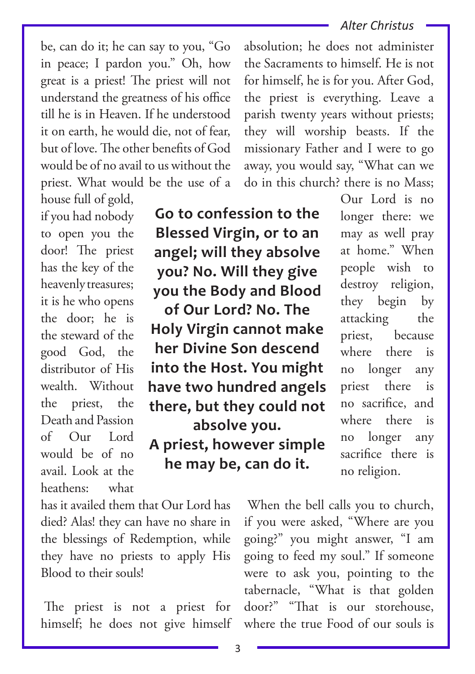be, can do it; he can say to you, "Go in peace; I pardon you." Oh, how great is a priest! The priest will not understand the greatness of his office till he is in Heaven. If he understood it on earth, he would die, not of fear, but of love. The other benefits of God would be of no avail to us without the priest. What would be the use of a

house full of gold, if you had nobody to open you the door! The priest has the key of the heavenly treasures; it is he who opens the door; he is the steward of the good God, the distributor of His wealth. Without the priest, the Death and Passion of Our Lord would be of no avail. Look at the heathens: what

**Go to confession to the Blessed Virgin, or to an angel; will they absolve you? No. Will they give you the Body and Blood of Our Lord? No. The Holy Virgin cannot make her Divine Son descend into the Host. You might have two hundred angels there, but they could not absolve you. A priest, however simple** 

**he may be, can do it.**

has it availed them that Our Lord has died? Alas! they can have no share in the blessings of Redemption, while they have no priests to apply His Blood to their souls!

The priest is not a priest for himself; he does not give himself

absolution; he does not administer the Sacraments to himself. He is not for himself, he is for you. After God, the priest is everything. Leave a parish twenty years without priests; they will worship beasts. If the missionary Father and I were to go away, you would say, "What can we do in this church? there is no Mass;

*Alter Christus*

Our Lord is no longer there: we may as well pray at home." When people wish to destroy religion, they begin by attacking the priest, because where there is no longer any priest there is no sacrifice, and where there is no longer any sacrifice there is no religion.

When the bell calls you to church, if you were asked, "Where are you going?" you might answer, "I am going to feed my soul." If someone were to ask you, pointing to the tabernacle, "What is that golden door?" "That is our storehouse, where the true Food of our souls is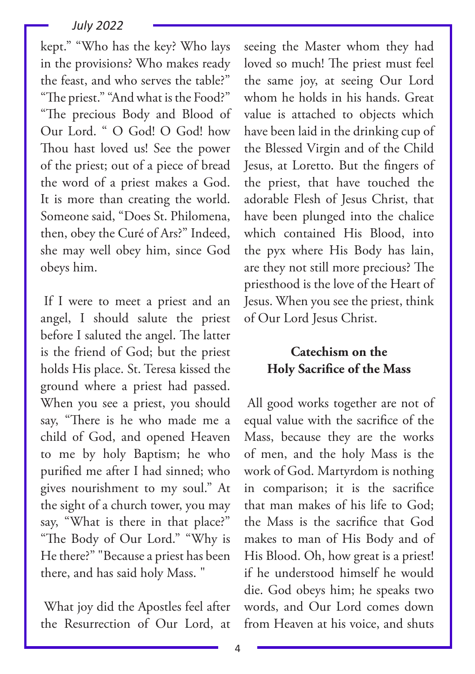kept." "Who has the key? Who lays in the provisions? Who makes ready the feast, and who serves the table?" "The priest." "And what is the Food?" "The precious Body and Blood of Our Lord. " O God! O God! how Thou hast loved us! See the power of the priest; out of a piece of bread the word of a priest makes a God. It is more than creating the world. Someone said, "Does St. Philomena, then, obey the Curé of Ars?" Indeed, she may well obey him, since God obeys him.

If I were to meet a priest and an angel, I should salute the priest before I saluted the angel. The latter is the friend of God; but the priest holds His place. St. Teresa kissed the ground where a priest had passed. When you see a priest, you should say, "There is he who made me a child of God, and opened Heaven to me by holy Baptism; he who purified me after I had sinned; who gives nourishment to my soul." At the sight of a church tower, you may say, "What is there in that place?" "The Body of Our Lord." "Why is He there?" "Because a priest has been there, and has said holy Mass. "

What joy did the Apostles feel after the Resurrection of Our Lord, at seeing the Master whom they had loved so much! The priest must feel the same joy, at seeing Our Lord whom he holds in his hands. Great value is attached to objects which have been laid in the drinking cup of the Blessed Virgin and of the Child Jesus, at Loretto. But the fingers of the priest, that have touched the adorable Flesh of Jesus Christ, that have been plunged into the chalice which contained His Blood, into the pyx where His Body has lain, are they not still more precious? The priesthood is the love of the Heart of Jesus. When you see the priest, think of Our Lord Jesus Christ.

## **Catechism on the Holy Sacrifice of the Mass**

All good works together are not of equal value with the sacrifice of the Mass, because they are the works of men, and the holy Mass is the work of God. Martyrdom is nothing in comparison; it is the sacrifice that man makes of his life to God; the Mass is the sacrifice that God makes to man of His Body and of His Blood. Oh, how great is a priest! if he understood himself he would die. God obeys him; he speaks two words, and Our Lord comes down from Heaven at his voice, and shuts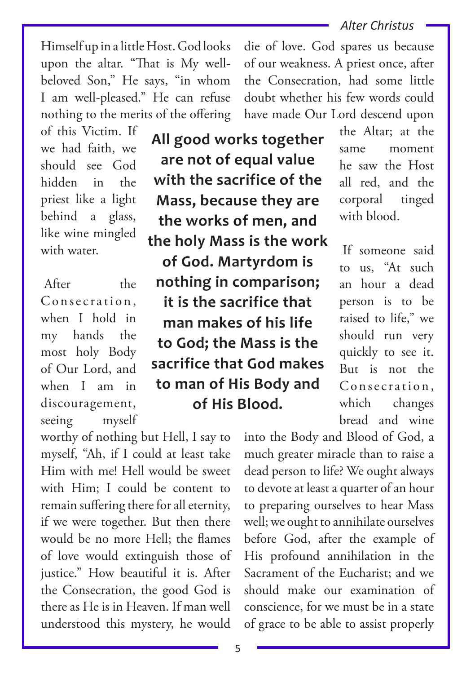die of love. God spares us because of our weakness. A priest once, after the Consecration, had some little doubt whether his few words could have made Our Lord descend upon

Himself up in a little Host. God looks upon the altar. "That is My wellbeloved Son," He says, "in whom I am well-pleased." He can refuse nothing to the merits of the offering

of this Victim. If we had faith, we should see God hidden in the priest like a light behind a glass, like wine mingled with water.

After the Consecration, when I hold in my hands the most holy Body of Our Lord, and when I am in discouragement, seeing myself

**All good works together are not of equal value with the sacrifice of the Mass, because they are the works of men, and the holy Mass is the work of God. Martyrdom is nothing in comparison; it is the sacrifice that man makes of his life to God; the Mass is the sacrifice that God makes to man of His Body and of His Blood.** 

the Altar; at the same moment he saw the Host all red, and the corporal tinged with blood.

If someone said to us, "At such an hour a dead person is to be raised to life," we should run very quickly to see it. But is not the Consecration, which changes bread and wine

into the Body and Blood of God, a much greater miracle than to raise a dead person to life? We ought always to devote at least a quarter of an hour to preparing ourselves to hear Mass well; we ought to annihilate ourselves before God, after the example of His profound annihilation in the Sacrament of the Eucharist; and we should make our examination of conscience, for we must be in a state of grace to be able to assist properly

worthy of nothing but Hell, I say to myself, "Ah, if I could at least take Him with me! Hell would be sweet with Him; I could be content to remain suffering there for all eternity, if we were together. But then there would be no more Hell; the flames of love would extinguish those of justice." How beautiful it is. After the Consecration, the good God is there as He is in Heaven. If man well understood this mystery, he would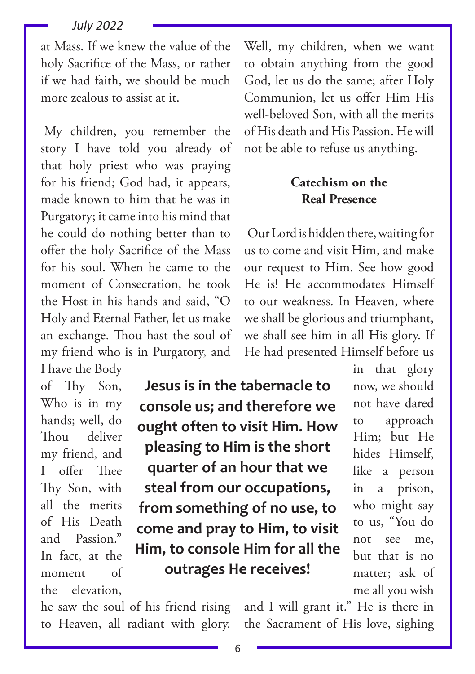at Mass. If we knew the value of the holy Sacrifice of the Mass, or rather if we had faith, we should be much more zealous to assist at it.

My children, you remember the story I have told you already of that holy priest who was praying for his friend; God had, it appears, made known to him that he was in Purgatory; it came into his mind that he could do nothing better than to offer the holy Sacrifice of the Mass for his soul. When he came to the moment of Consecration, he took the Host in his hands and said, "O Holy and Eternal Father, let us make an exchange. Thou hast the soul of my friend who is in Purgatory, and I have the Body

of Thy Son, Who is in my hands; well, do Thou deliver my friend, and I offer Thee Thy Son, with all the merits of His Death and Passion." In fact, at the moment of the elevation,

**Jesus is in the tabernacle to console us; and therefore we ought often to visit Him. How pleasing to Him is the short quarter of an hour that we steal from our occupations, from something of no use, to come and pray to Him, to visit Him, to console Him for all the outrages He receives!**

Well, my children, when we want to obtain anything from the good God, let us do the same; after Holy Communion, let us offer Him His well-beloved Son, with all the merits of His death and His Passion. He will not be able to refuse us anything.

## **Catechism on the Real Presence**

Our Lord is hidden there, waiting for us to come and visit Him, and make our request to Him. See how good He is! He accommodates Himself to our weakness. In Heaven, where we shall be glorious and triumphant, we shall see him in all His glory. If He had presented Himself before us

> in that glory now, we should not have dared to approach Him; but He hides Himself, like a person in a prison, who might say to us, "You do not see me, but that is no matter; ask of me all you wish

he saw the soul of his friend rising to Heaven, all radiant with glory. and I will grant it." He is there in the Sacrament of His love, sighing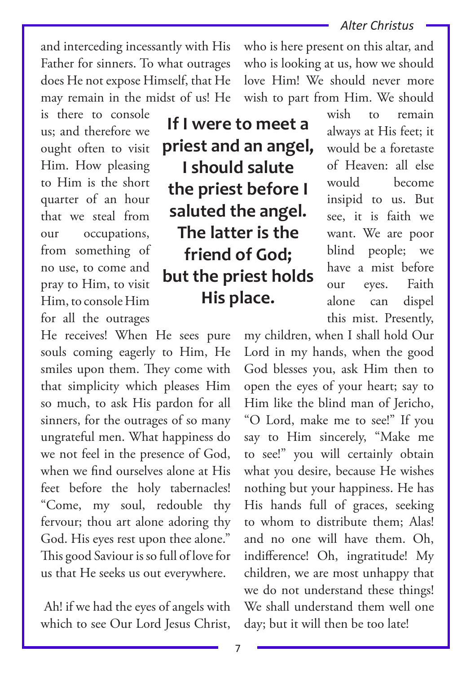and interceding incessantly with His Father for sinners. To what outrages does He not expose Himself, that He may remain in the midst of us! He

is there to console us; and therefore we ought often to visit Him. How pleasing to Him is the short quarter of an hour that we steal from our occupations, from something of no use, to come and pray to Him, to visit Him, to console Him for all the outrages

He receives! When He sees pure souls coming eagerly to Him, He smiles upon them. They come with that simplicity which pleases Him so much, to ask His pardon for all sinners, for the outrages of so many ungrateful men. What happiness do we not feel in the presence of God, when we find ourselves alone at His feet before the holy tabernacles! "Come, my soul, redouble thy fervour; thou art alone adoring thy God. His eyes rest upon thee alone." This good Saviour is so full of love for us that He seeks us out everywhere.

Ah! if we had the eyes of angels with which to see Our Lord Jesus Christ,

**If I were to meet a priest and an angel, I should salute the priest before I saluted the angel. The latter is the friend of God; but the priest holds His place.**

who is here present on this altar, and who is looking at us, how we should love Him! We should never more wish to part from Him. We should

wish to remain always at His feet; it would be a foretaste of Heaven: all else would become insipid to us. But see, it is faith we want. We are poor blind people; we have a mist before our eyes. Faith alone can dispel this mist. Presently,

my children, when I shall hold Our Lord in my hands, when the good God blesses you, ask Him then to open the eyes of your heart; say to Him like the blind man of Jericho, "O Lord, make me to see!" If you say to Him sincerely, "Make me to see!" you will certainly obtain what you desire, because He wishes nothing but your happiness. He has His hands full of graces, seeking to whom to distribute them; Alas! and no one will have them. Oh, indifference! Oh, ingratitude! My children, we are most unhappy that we do not understand these things! We shall understand them well one day; but it will then be too late!